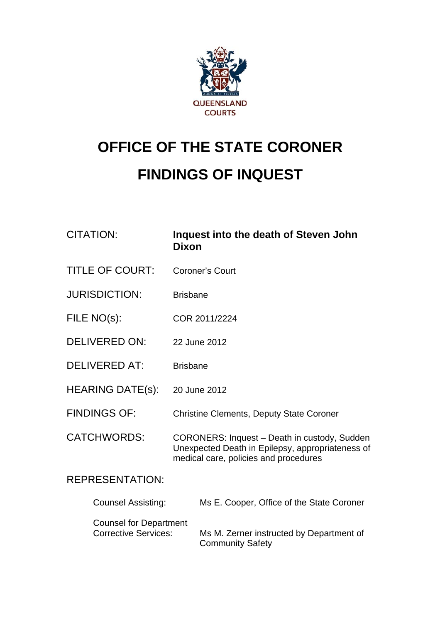

# **OFFICE OF THE STATE CORONER FINDINGS OF INQUEST**

# CITATION: **Inquest into the death of Steven John Dixon**

- TITLE OF COURT: Coroner's Court
- JURISDICTION: Brisbane
- FILE NO(s): COR 2011/2224
- DELIVERED ON: 22 June 2012
- DELIVERED AT: Brisbane
- HEARING DATE(s): 20 June 2012
- FINDINGS OF: Christine Clements, Deputy State Coroner
- CATCHWORDS: CORONERS: Inquest Death in custody, Sudden Unexpected Death in Epilepsy, appropriateness of medical care, policies and procedures

# REPRESENTATION:

| <b>Counsel Assisting:</b>     | Ms E. Cooper, Office of the State Coroner |
|-------------------------------|-------------------------------------------|
| <b>Counsel for Department</b> | Ms M. Zerner instructed by Department of  |
| <b>Corrective Services:</b>   | <b>Community Safety</b>                   |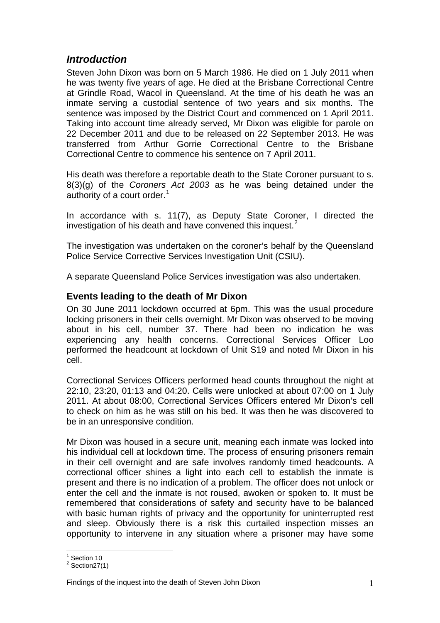# *Introduction*

Steven John Dixon was born on 5 March 1986. He died on 1 July 2011 when he was twenty five years of age. He died at the Brisbane Correctional Centre at Grindle Road, Wacol in Queensland. At the time of his death he was an inmate serving a custodial sentence of two years and six months. The sentence was imposed by the District Court and commenced on 1 April 2011. Taking into account time already served, Mr Dixon was eligible for parole on 22 December 2011 and due to be released on 22 September 2013. He was transferred from Arthur Gorrie Correctional Centre to the Brisbane Correctional Centre to commence his sentence on 7 April 2011.

His death was therefore a reportable death to the State Coroner pursuant to s. 8(3)(g) of the *Coroners Act 2003* as he was being detained under the authority of a court order.<sup>[1](#page-1-0)</sup>

In accordance with s. 11(7), as Deputy State Coroner, I directed the investigation of his death and have convened this inquest. $2$ 

The investigation was undertaken on the coroner's behalf by the Queensland Police Service Corrective Services Investigation Unit (CSIU).

A separate Queensland Police Services investigation was also undertaken.

# **Events leading to the death of Mr Dixon**

On 30 June 2011 lockdown occurred at 6pm. This was the usual procedure locking prisoners in their cells overnight. Mr Dixon was observed to be moving about in his cell, number 37. There had been no indication he was experiencing any health concerns. Correctional Services Officer Loo performed the headcount at lockdown of Unit S19 and noted Mr Dixon in his cell.

Correctional Services Officers performed head counts throughout the night at 22:10, 23:20, 01:13 and 04:20. Cells were unlocked at about 07:00 on 1 July 2011. At about 08:00, Correctional Services Officers entered Mr Dixon's cell to check on him as he was still on his bed. It was then he was discovered to be in an unresponsive condition.

Mr Dixon was housed in a secure unit, meaning each inmate was locked into his individual cell at lockdown time. The process of ensuring prisoners remain in their cell overnight and are safe involves randomly timed headcounts. A correctional officer shines a light into each cell to establish the inmate is present and there is no indication of a problem. The officer does not unlock or enter the cell and the inmate is not roused, awoken or spoken to. It must be remembered that considerations of safety and security have to be balanced with basic human rights of privacy and the opportunity for uninterrupted rest and sleep. Obviously there is a risk this curtailed inspection misses an opportunity to intervene in any situation where a prisoner may have some

<sup>&</sup>lt;sup>1</sup> Section 10

<span id="page-1-1"></span><span id="page-1-0"></span> $2$  Section 27(1)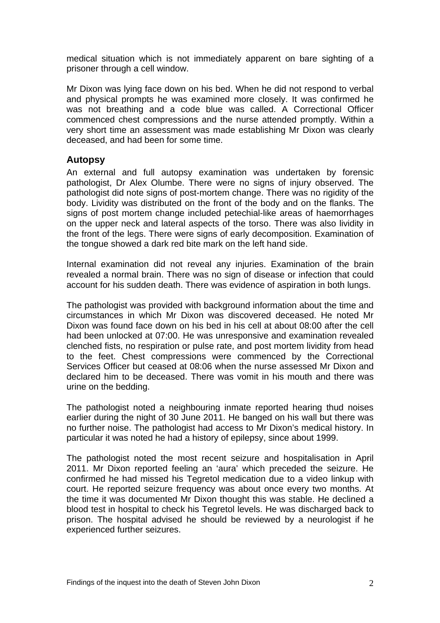medical situation which is not immediately apparent on bare sighting of a prisoner through a cell window.

Mr Dixon was lying face down on his bed. When he did not respond to verbal and physical prompts he was examined more closely. It was confirmed he was not breathing and a code blue was called. A Correctional Officer commenced chest compressions and the nurse attended promptly. Within a very short time an assessment was made establishing Mr Dixon was clearly deceased, and had been for some time.

#### **Autopsy**

An external and full autopsy examination was undertaken by forensic pathologist, Dr Alex Olumbe. There were no signs of injury observed. The pathologist did note signs of post-mortem change. There was no rigidity of the body. Lividity was distributed on the front of the body and on the flanks. The signs of post mortem change included petechial-like areas of haemorrhages on the upper neck and lateral aspects of the torso. There was also lividity in the front of the legs. There were signs of early decomposition. Examination of the tongue showed a dark red bite mark on the left hand side.

Internal examination did not reveal any injuries. Examination of the brain revealed a normal brain. There was no sign of disease or infection that could account for his sudden death. There was evidence of aspiration in both lungs.

The pathologist was provided with background information about the time and circumstances in which Mr Dixon was discovered deceased. He noted Mr Dixon was found face down on his bed in his cell at about 08:00 after the cell had been unlocked at 07:00. He was unresponsive and examination revealed clenched fists, no respiration or pulse rate, and post mortem lividity from head to the feet. Chest compressions were commenced by the Correctional Services Officer but ceased at 08:06 when the nurse assessed Mr Dixon and declared him to be deceased. There was vomit in his mouth and there was urine on the bedding.

The pathologist noted a neighbouring inmate reported hearing thud noises earlier during the night of 30 June 2011. He banged on his wall but there was no further noise. The pathologist had access to Mr Dixon's medical history. In particular it was noted he had a history of epilepsy, since about 1999.

The pathologist noted the most recent seizure and hospitalisation in April 2011. Mr Dixon reported feeling an 'aura' which preceded the seizure. He confirmed he had missed his Tegretol medication due to a video linkup with court. He reported seizure frequency was about once every two months. At the time it was documented Mr Dixon thought this was stable. He declined a blood test in hospital to check his Tegretol levels. He was discharged back to prison. The hospital advised he should be reviewed by a neurologist if he experienced further seizures.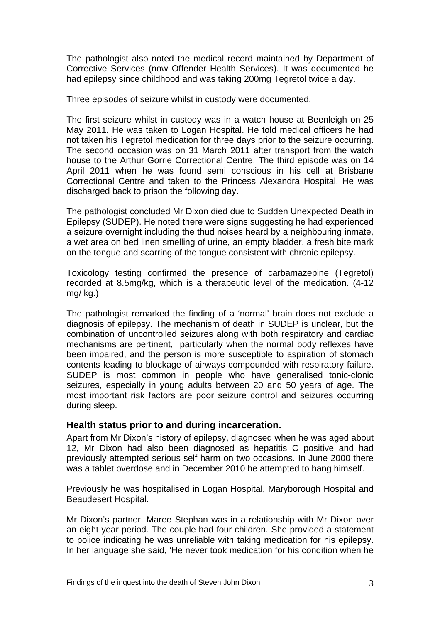The pathologist also noted the medical record maintained by Department of Corrective Services (now Offender Health Services). It was documented he had epilepsy since childhood and was taking 200mg Tegretol twice a day.

Three episodes of seizure whilst in custody were documented.

The first seizure whilst in custody was in a watch house at Beenleigh on 25 May 2011. He was taken to Logan Hospital. He told medical officers he had not taken his Tegretol medication for three days prior to the seizure occurring. The second occasion was on 31 March 2011 after transport from the watch house to the Arthur Gorrie Correctional Centre. The third episode was on 14 April 2011 when he was found semi conscious in his cell at Brisbane Correctional Centre and taken to the Princess Alexandra Hospital. He was discharged back to prison the following day.

The pathologist concluded Mr Dixon died due to Sudden Unexpected Death in Epilepsy (SUDEP). He noted there were signs suggesting he had experienced a seizure overnight including the thud noises heard by a neighbouring inmate, a wet area on bed linen smelling of urine, an empty bladder, a fresh bite mark on the tongue and scarring of the tongue consistent with chronic epilepsy.

Toxicology testing confirmed the presence of carbamazepine (Tegretol) recorded at 8.5mg/kg, which is a therapeutic level of the medication. (4-12 mg/ kg.)

The pathologist remarked the finding of a 'normal' brain does not exclude a diagnosis of epilepsy. The mechanism of death in SUDEP is unclear, but the combination of uncontrolled seizures along with both respiratory and cardiac mechanisms are pertinent, particularly when the normal body reflexes have been impaired, and the person is more susceptible to aspiration of stomach contents leading to blockage of airways compounded with respiratory failure. SUDEP is most common in people who have generalised tonic-clonic seizures, especially in young adults between 20 and 50 years of age. The most important risk factors are poor seizure control and seizures occurring during sleep.

#### **Health status prior to and during incarceration.**

Apart from Mr Dixon's history of epilepsy, diagnosed when he was aged about 12, Mr Dixon had also been diagnosed as hepatitis C positive and had previously attempted serious self harm on two occasions. In June 2000 there was a tablet overdose and in December 2010 he attempted to hang himself.

Previously he was hospitalised in Logan Hospital, Maryborough Hospital and Beaudesert Hospital.

Mr Dixon's partner, Maree Stephan was in a relationship with Mr Dixon over an eight year period. The couple had four children. She provided a statement to police indicating he was unreliable with taking medication for his epilepsy. In her language she said, 'He never took medication for his condition when he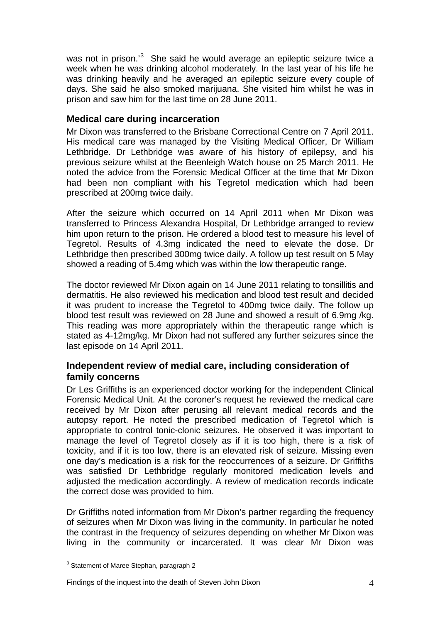was not in prison.<sup>[3](#page-4-0)</sup> She said he would average an epileptic seizure twice a week when he was drinking alcohol moderately. In the last year of his life he was drinking heavily and he averaged an epileptic seizure every couple of days. She said he also smoked marijuana. She visited him whilst he was in prison and saw him for the last time on 28 June 2011.

# **Medical care during incarceration**

Mr Dixon was transferred to the Brisbane Correctional Centre on 7 April 2011. His medical care was managed by the Visiting Medical Officer, Dr William Lethbridge. Dr Lethbridge was aware of his history of epilepsy, and his previous seizure whilst at the Beenleigh Watch house on 25 March 2011. He noted the advice from the Forensic Medical Officer at the time that Mr Dixon had been non compliant with his Tegretol medication which had been prescribed at 200mg twice daily.

After the seizure which occurred on 14 April 2011 when Mr Dixon was transferred to Princess Alexandra Hospital, Dr Lethbridge arranged to review him upon return to the prison. He ordered a blood test to measure his level of Tegretol. Results of 4.3mg indicated the need to elevate the dose. Dr Lethbridge then prescribed 300mg twice daily. A follow up test result on 5 May showed a reading of 5.4mg which was within the low therapeutic range.

The doctor reviewed Mr Dixon again on 14 June 2011 relating to tonsillitis and dermatitis. He also reviewed his medication and blood test result and decided it was prudent to increase the Tegretol to 400mg twice daily. The follow up blood test result was reviewed on 28 June and showed a result of 6.9mg /kg. This reading was more appropriately within the therapeutic range which is stated as 4-12mg/kg. Mr Dixon had not suffered any further seizures since the last episode on 14 April 2011.

# **Independent review of medial care, including consideration of family concerns**

Dr Les Griffiths is an experienced doctor working for the independent Clinical Forensic Medical Unit. At the coroner's request he reviewed the medical care received by Mr Dixon after perusing all relevant medical records and the autopsy report. He noted the prescribed medication of Tegretol which is appropriate to control tonic-clonic seizures. He observed it was important to manage the level of Tegretol closely as if it is too high, there is a risk of toxicity, and if it is too low, there is an elevated risk of seizure. Missing even one day's medication is a risk for the reoccurrences of a seizure. Dr Griffiths was satisfied Dr Lethbridge regularly monitored medication levels and adjusted the medication accordingly. A review of medication records indicate the correct dose was provided to him.

Dr Griffiths noted information from Mr Dixon's partner regarding the frequency of seizures when Mr Dixon was living in the community. In particular he noted the contrast in the frequency of seizures depending on whether Mr Dixon was living in the community or incarcerated. It was clear Mr Dixon was

<span id="page-4-0"></span> 3 Statement of Maree Stephan, paragraph 2

Findings of the inquest into the death of Steven John Dixon 4 4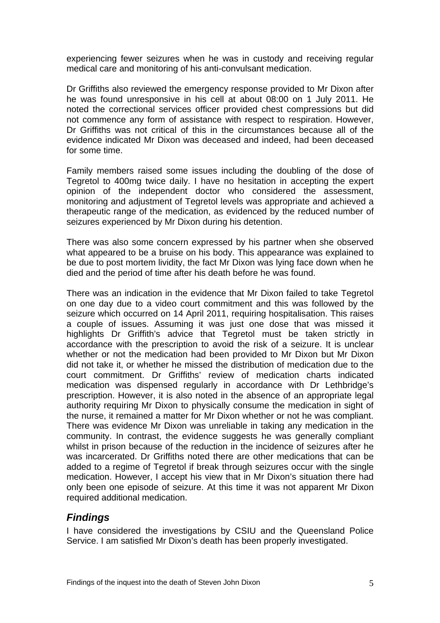experiencing fewer seizures when he was in custody and receiving regular medical care and monitoring of his anti-convulsant medication.

Dr Griffiths also reviewed the emergency response provided to Mr Dixon after he was found unresponsive in his cell at about 08:00 on 1 July 2011. He noted the correctional services officer provided chest compressions but did not commence any form of assistance with respect to respiration. However, Dr Griffiths was not critical of this in the circumstances because all of the evidence indicated Mr Dixon was deceased and indeed, had been deceased for some time.

Family members raised some issues including the doubling of the dose of Tegretol to 400mg twice daily. I have no hesitation in accepting the expert opinion of the independent doctor who considered the assessment, monitoring and adjustment of Tegretol levels was appropriate and achieved a therapeutic range of the medication, as evidenced by the reduced number of seizures experienced by Mr Dixon during his detention.

There was also some concern expressed by his partner when she observed what appeared to be a bruise on his body. This appearance was explained to be due to post mortem lividity, the fact Mr Dixon was lying face down when he died and the period of time after his death before he was found.

There was an indication in the evidence that Mr Dixon failed to take Tegretol on one day due to a video court commitment and this was followed by the seizure which occurred on 14 April 2011, requiring hospitalisation. This raises a couple of issues. Assuming it was just one dose that was missed it highlights Dr Griffith's advice that Tegretol must be taken strictly in accordance with the prescription to avoid the risk of a seizure. It is unclear whether or not the medication had been provided to Mr Dixon but Mr Dixon did not take it, or whether he missed the distribution of medication due to the court commitment. Dr Griffiths' review of medication charts indicated medication was dispensed regularly in accordance with Dr Lethbridge's prescription. However, it is also noted in the absence of an appropriate legal authority requiring Mr Dixon to physically consume the medication in sight of the nurse, it remained a matter for Mr Dixon whether or not he was compliant. There was evidence Mr Dixon was unreliable in taking any medication in the community. In contrast, the evidence suggests he was generally compliant whilst in prison because of the reduction in the incidence of seizures after he was incarcerated. Dr Griffiths noted there are other medications that can be added to a regime of Tegretol if break through seizures occur with the single medication. However, I accept his view that in Mr Dixon's situation there had only been one episode of seizure. At this time it was not apparent Mr Dixon required additional medication.

# *Findings*

I have considered the investigations by CSIU and the Queensland Police Service. I am satisfied Mr Dixon's death has been properly investigated.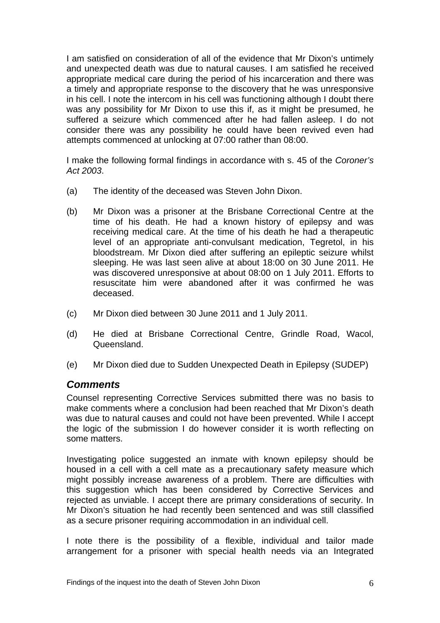I am satisfied on consideration of all of the evidence that Mr Dixon's untimely and unexpected death was due to natural causes. I am satisfied he received appropriate medical care during the period of his incarceration and there was a timely and appropriate response to the discovery that he was unresponsive in his cell. I note the intercom in his cell was functioning although I doubt there was any possibility for Mr Dixon to use this if, as it might be presumed, he suffered a seizure which commenced after he had fallen asleep. I do not consider there was any possibility he could have been revived even had attempts commenced at unlocking at 07:00 rather than 08:00.

I make the following formal findings in accordance with s. 45 of the *Coroner's Act 2003*.

- (a) The identity of the deceased was Steven John Dixon.
- (b) Mr Dixon was a prisoner at the Brisbane Correctional Centre at the time of his death. He had a known history of epilepsy and was receiving medical care. At the time of his death he had a therapeutic level of an appropriate anti-convulsant medication, Tegretol, in his bloodstream. Mr Dixon died after suffering an epileptic seizure whilst sleeping. He was last seen alive at about 18:00 on 30 June 2011. He was discovered unresponsive at about 08:00 on 1 July 2011. Efforts to resuscitate him were abandoned after it was confirmed he was deceased.
- (c) Mr Dixon died between 30 June 2011 and 1 July 2011.
- (d) He died at Brisbane Correctional Centre, Grindle Road, Wacol, Queensland.
- (e) Mr Dixon died due to Sudden Unexpected Death in Epilepsy (SUDEP)

# *Comments*

Counsel representing Corrective Services submitted there was no basis to make comments where a conclusion had been reached that Mr Dixon's death was due to natural causes and could not have been prevented. While I accept the logic of the submission I do however consider it is worth reflecting on some matters.

Investigating police suggested an inmate with known epilepsy should be housed in a cell with a cell mate as a precautionary safety measure which might possibly increase awareness of a problem. There are difficulties with this suggestion which has been considered by Corrective Services and rejected as unviable. I accept there are primary considerations of security. In Mr Dixon's situation he had recently been sentenced and was still classified as a secure prisoner requiring accommodation in an individual cell.

I note there is the possibility of a flexible, individual and tailor made arrangement for a prisoner with special health needs via an Integrated